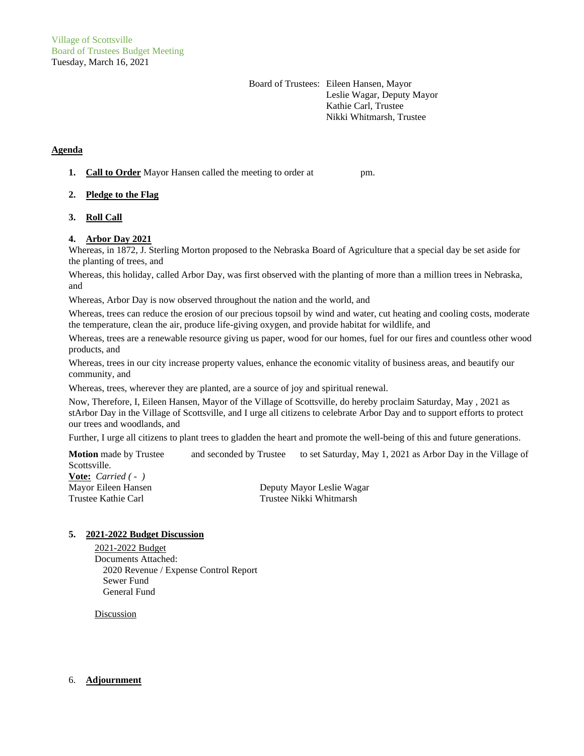Board of Trustees: Eileen Hansen, Mayor Leslie Wagar, Deputy Mayor Kathie Carl, Trustee Nikki Whitmarsh, Trustee

# **Agenda**

**1. Call to Order** Mayor Hansen called the meeting to order at pm.

## **2. Pledge to the Flag**

**3. Roll Call**

### **4. Arbor Day 2021**

Whereas, in 1872, J. Sterling Morton proposed to the Nebraska Board of Agriculture that a special day be set aside for the planting of trees, and

Whereas, this holiday, called Arbor Day, was first observed with the planting of more than a million trees in Nebraska, and

Whereas, Arbor Day is now observed throughout the nation and the world, and

Whereas, trees can reduce the erosion of our precious topsoil by wind and water, cut heating and cooling costs, moderate the temperature, clean the air, produce life-giving oxygen, and provide habitat for wildlife, and

Whereas, trees are a renewable resource giving us paper, wood for our homes, fuel for our fires and countless other wood products, and

Whereas, trees in our city increase property values, enhance the economic vitality of business areas, and beautify our community, and

Whereas, trees, wherever they are planted, are a source of joy and spiritual renewal.

Now, Therefore, I, Eileen Hansen, Mayor of the Village of Scottsville, do hereby proclaim Saturday, May , 2021 as stArbor Day in the Village of Scottsville, and I urge all citizens to celebrate Arbor Day and to support efforts to protect our trees and woodlands, and

Further, I urge all citizens to plant trees to gladden the heart and promote the well-being of this and future generations.

**Motion** made by Trustee and seconded by Trustee to set Saturday, May 1, 2021 as Arbor Day in the Village of Scottsville.

**Vote:** *Carried ( - )*

Mayor Eileen Hansen Deputy Mayor Leslie Wagar Trustee Kathie Carl Trustee Nikki Whitmarsh

### **5. 2021-2022 Budget Discussion**

2021-2022 Budget Documents Attached: 2020 Revenue / Expense Control Report Sewer Fund General Fund

**Discussion** 

## 6. **Adjournment**